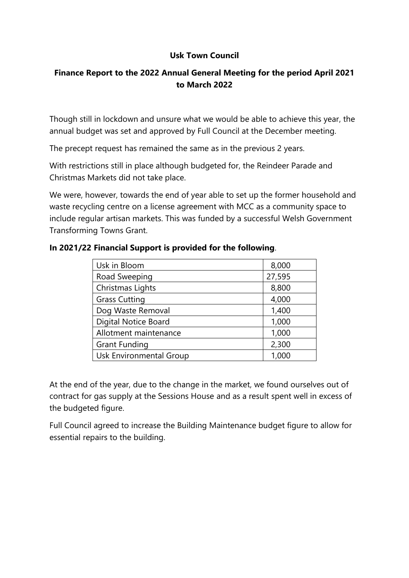## **Usk Town Council**

# **Finance Report to the 2022 Annual General Meeting for the period April 2021 to March 2022**

Though still in lockdown and unsure what we would be able to achieve this year, the annual budget was set and approved by Full Council at the December meeting.

The precept request has remained the same as in the previous 2 years.

With restrictions still in place although budgeted for, the Reindeer Parade and Christmas Markets did not take place.

We were, however, towards the end of year able to set up the former household and waste recycling centre on a license agreement with MCC as a community space to include regular artisan markets. This was funded by a successful Welsh Government Transforming Towns Grant.

| Usk in Bloom                | 8,000  |
|-----------------------------|--------|
| Road Sweeping               | 27,595 |
| Christmas Lights            | 8,800  |
| <b>Grass Cutting</b>        | 4,000  |
| Dog Waste Removal           | 1,400  |
| <b>Digital Notice Board</b> | 1,000  |
| Allotment maintenance       | 1,000  |
| <b>Grant Funding</b>        | 2,300  |
| Usk Environmental Group     | 1,000  |

## **In 2021/22 Financial Support is provided for the following**.

At the end of the year, due to the change in the market, we found ourselves out of contract for gas supply at the Sessions House and as a result spent well in excess of the budgeted figure.

Full Council agreed to increase the Building Maintenance budget figure to allow for essential repairs to the building.